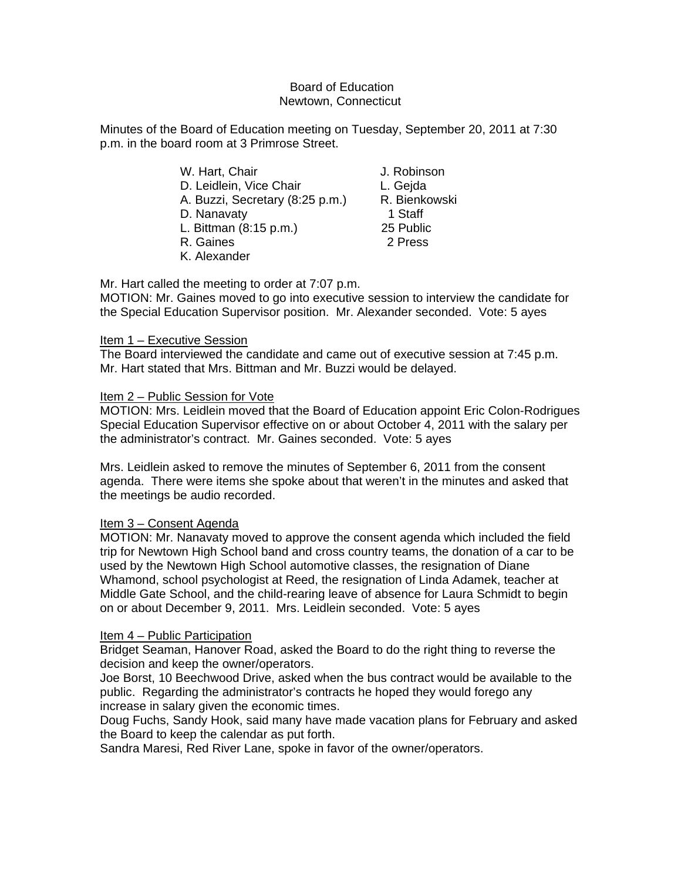### Board of Education Newtown, Connecticut

Minutes of the Board of Education meeting on Tuesday, September 20, 2011 at 7:30 p.m. in the board room at 3 Primrose Street.

| W. Hart, Chair                  | J. Robin |
|---------------------------------|----------|
| D. Leidlein, Vice Chair         | L. Gejda |
| A. Buzzi, Secretary (8:25 p.m.) | R. Bienk |
| D. Nanavaty                     | 1 Staff  |
| L. Bittman (8:15 p.m.)          | 25 Publi |
| R. Gaines                       | 2 Press  |
|                                 |          |

K. Alexander

J. Robinson L. Geida R. Bienkowski 25 Public 2 Press

Mr. Hart called the meeting to order at 7:07 p.m.

MOTION: Mr. Gaines moved to go into executive session to interview the candidate for the Special Education Supervisor position. Mr. Alexander seconded. Vote: 5 ayes

# Item 1 – Executive Session

The Board interviewed the candidate and came out of executive session at 7:45 p.m. Mr. Hart stated that Mrs. Bittman and Mr. Buzzi would be delayed.

# Item 2 – Public Session for Vote

MOTION: Mrs. Leidlein moved that the Board of Education appoint Eric Colon-Rodrigues Special Education Supervisor effective on or about October 4, 2011 with the salary per the administrator's contract. Mr. Gaines seconded. Vote: 5 ayes

Mrs. Leidlein asked to remove the minutes of September 6, 2011 from the consent agenda. There were items she spoke about that weren't in the minutes and asked that the meetings be audio recorded.

# Item 3 – Consent Agenda

MOTION: Mr. Nanavaty moved to approve the consent agenda which included the field trip for Newtown High School band and cross country teams, the donation of a car to be used by the Newtown High School automotive classes, the resignation of Diane Whamond, school psychologist at Reed, the resignation of Linda Adamek, teacher at Middle Gate School, and the child-rearing leave of absence for Laura Schmidt to begin on or about December 9, 2011. Mrs. Leidlein seconded. Vote: 5 ayes

# Item 4 – Public Participation

Bridget Seaman, Hanover Road, asked the Board to do the right thing to reverse the decision and keep the owner/operators.

Joe Borst, 10 Beechwood Drive, asked when the bus contract would be available to the public. Regarding the administrator's contracts he hoped they would forego any increase in salary given the economic times.

Doug Fuchs, Sandy Hook, said many have made vacation plans for February and asked the Board to keep the calendar as put forth.

Sandra Maresi, Red River Lane, spoke in favor of the owner/operators.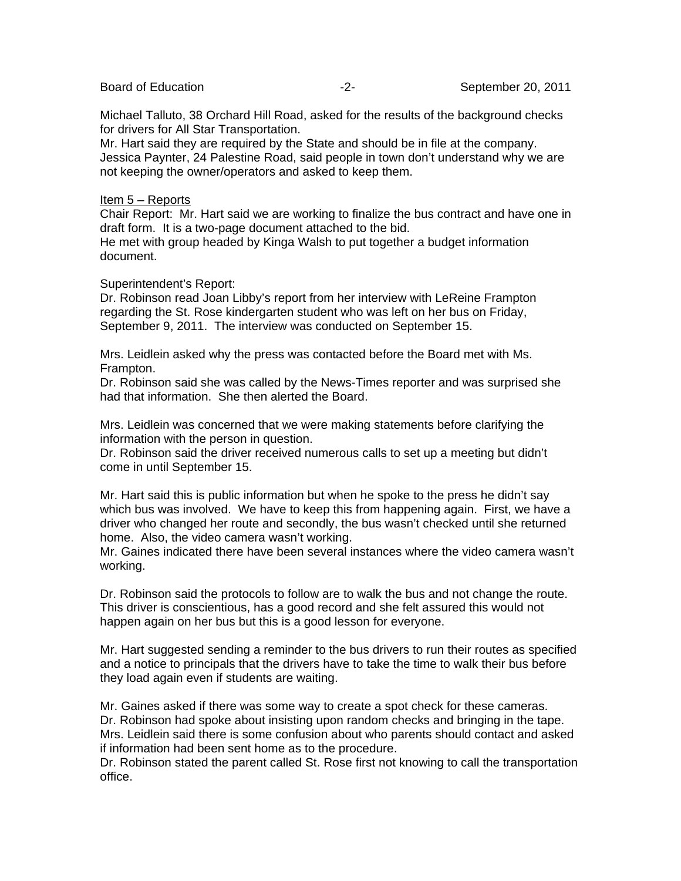Michael Talluto, 38 Orchard Hill Road, asked for the results of the background checks for drivers for All Star Transportation.

Mr. Hart said they are required by the State and should be in file at the company. Jessica Paynter, 24 Palestine Road, said people in town don't understand why we are not keeping the owner/operators and asked to keep them.

#### Item 5 – Reports

Chair Report: Mr. Hart said we are working to finalize the bus contract and have one in draft form. It is a two-page document attached to the bid.

He met with group headed by Kinga Walsh to put together a budget information document.

### Superintendent's Report:

Dr. Robinson read Joan Libby's report from her interview with LeReine Frampton regarding the St. Rose kindergarten student who was left on her bus on Friday, September 9, 2011. The interview was conducted on September 15.

Mrs. Leidlein asked why the press was contacted before the Board met with Ms. Frampton.

Dr. Robinson said she was called by the News-Times reporter and was surprised she had that information. She then alerted the Board.

Mrs. Leidlein was concerned that we were making statements before clarifying the information with the person in question.

Dr. Robinson said the driver received numerous calls to set up a meeting but didn't come in until September 15.

Mr. Hart said this is public information but when he spoke to the press he didn't say which bus was involved. We have to keep this from happening again. First, we have a driver who changed her route and secondly, the bus wasn't checked until she returned home. Also, the video camera wasn't working.

Mr. Gaines indicated there have been several instances where the video camera wasn't working.

Dr. Robinson said the protocols to follow are to walk the bus and not change the route. This driver is conscientious, has a good record and she felt assured this would not happen again on her bus but this is a good lesson for everyone.

Mr. Hart suggested sending a reminder to the bus drivers to run their routes as specified and a notice to principals that the drivers have to take the time to walk their bus before they load again even if students are waiting.

Mr. Gaines asked if there was some way to create a spot check for these cameras. Dr. Robinson had spoke about insisting upon random checks and bringing in the tape. Mrs. Leidlein said there is some confusion about who parents should contact and asked if information had been sent home as to the procedure.

Dr. Robinson stated the parent called St. Rose first not knowing to call the transportation office.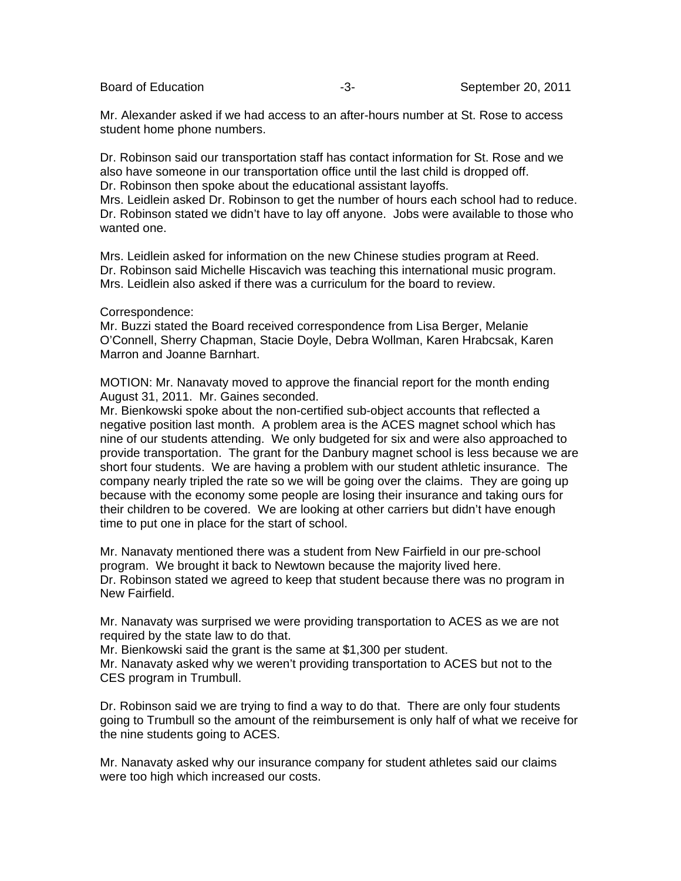Mr. Alexander asked if we had access to an after-hours number at St. Rose to access student home phone numbers.

Dr. Robinson said our transportation staff has contact information for St. Rose and we also have someone in our transportation office until the last child is dropped off. Dr. Robinson then spoke about the educational assistant layoffs.

Mrs. Leidlein asked Dr. Robinson to get the number of hours each school had to reduce. Dr. Robinson stated we didn't have to lay off anyone. Jobs were available to those who wanted one.

Mrs. Leidlein asked for information on the new Chinese studies program at Reed. Dr. Robinson said Michelle Hiscavich was teaching this international music program. Mrs. Leidlein also asked if there was a curriculum for the board to review.

### Correspondence:

Mr. Buzzi stated the Board received correspondence from Lisa Berger, Melanie O'Connell, Sherry Chapman, Stacie Doyle, Debra Wollman, Karen Hrabcsak, Karen Marron and Joanne Barnhart.

MOTION: Mr. Nanavaty moved to approve the financial report for the month ending August 31, 2011. Mr. Gaines seconded.

Mr. Bienkowski spoke about the non-certified sub-object accounts that reflected a negative position last month. A problem area is the ACES magnet school which has nine of our students attending. We only budgeted for six and were also approached to provide transportation. The grant for the Danbury magnet school is less because we are short four students. We are having a problem with our student athletic insurance. The company nearly tripled the rate so we will be going over the claims. They are going up because with the economy some people are losing their insurance and taking ours for their children to be covered. We are looking at other carriers but didn't have enough time to put one in place for the start of school.

Mr. Nanavaty mentioned there was a student from New Fairfield in our pre-school program. We brought it back to Newtown because the majority lived here. Dr. Robinson stated we agreed to keep that student because there was no program in New Fairfield.

Mr. Nanavaty was surprised we were providing transportation to ACES as we are not required by the state law to do that.

Mr. Bienkowski said the grant is the same at \$1,300 per student.

Mr. Nanavaty asked why we weren't providing transportation to ACES but not to the CES program in Trumbull.

Dr. Robinson said we are trying to find a way to do that. There are only four students going to Trumbull so the amount of the reimbursement is only half of what we receive for the nine students going to ACES.

Mr. Nanavaty asked why our insurance company for student athletes said our claims were too high which increased our costs.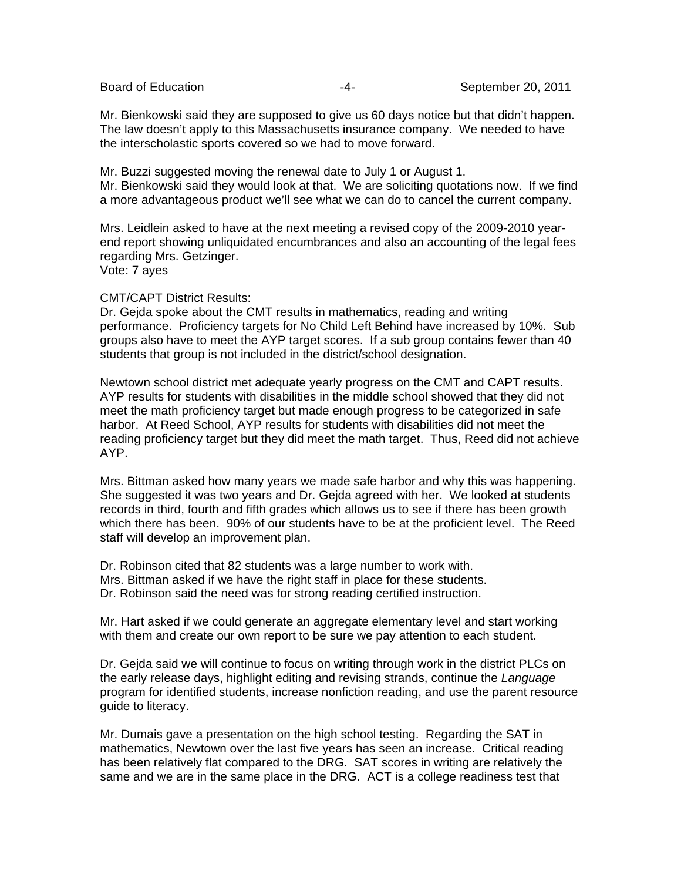Mr. Bienkowski said they are supposed to give us 60 days notice but that didn't happen. The law doesn't apply to this Massachusetts insurance company. We needed to have the interscholastic sports covered so we had to move forward.

Mr. Buzzi suggested moving the renewal date to July 1 or August 1. Mr. Bienkowski said they would look at that. We are soliciting quotations now. If we find a more advantageous product we'll see what we can do to cancel the current company.

Mrs. Leidlein asked to have at the next meeting a revised copy of the 2009-2010 yearend report showing unliquidated encumbrances and also an accounting of the legal fees regarding Mrs. Getzinger. Vote: 7 ayes

#### CMT/CAPT District Results:

Dr. Gejda spoke about the CMT results in mathematics, reading and writing performance. Proficiency targets for No Child Left Behind have increased by 10%. Sub groups also have to meet the AYP target scores. If a sub group contains fewer than 40 students that group is not included in the district/school designation.

Newtown school district met adequate yearly progress on the CMT and CAPT results. AYP results for students with disabilities in the middle school showed that they did not meet the math proficiency target but made enough progress to be categorized in safe harbor. At Reed School, AYP results for students with disabilities did not meet the reading proficiency target but they did meet the math target. Thus, Reed did not achieve AYP.

Mrs. Bittman asked how many years we made safe harbor and why this was happening. She suggested it was two years and Dr. Gejda agreed with her. We looked at students records in third, fourth and fifth grades which allows us to see if there has been growth which there has been. 90% of our students have to be at the proficient level. The Reed staff will develop an improvement plan.

Dr. Robinson cited that 82 students was a large number to work with. Mrs. Bittman asked if we have the right staff in place for these students. Dr. Robinson said the need was for strong reading certified instruction.

Mr. Hart asked if we could generate an aggregate elementary level and start working with them and create our own report to be sure we pay attention to each student.

Dr. Gejda said we will continue to focus on writing through work in the district PLCs on the early release days, highlight editing and revising strands, continue the *Language* program for identified students, increase nonfiction reading, and use the parent resource guide to literacy.

Mr. Dumais gave a presentation on the high school testing. Regarding the SAT in mathematics, Newtown over the last five years has seen an increase. Critical reading has been relatively flat compared to the DRG. SAT scores in writing are relatively the same and we are in the same place in the DRG. ACT is a college readiness test that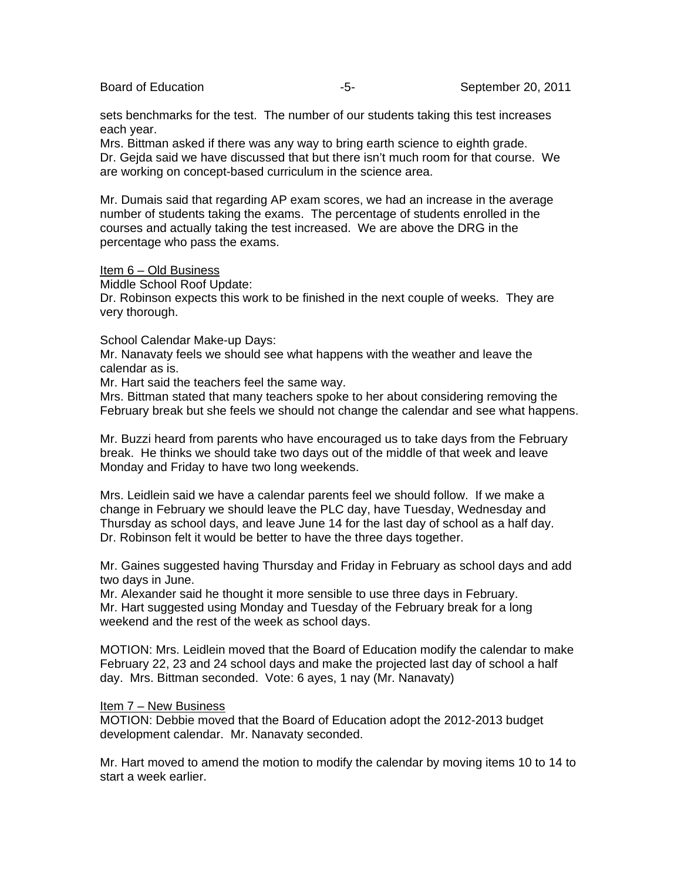sets benchmarks for the test. The number of our students taking this test increases each year.

Mrs. Bittman asked if there was any way to bring earth science to eighth grade. Dr. Gejda said we have discussed that but there isn't much room for that course. We are working on concept-based curriculum in the science area.

Mr. Dumais said that regarding AP exam scores, we had an increase in the average number of students taking the exams. The percentage of students enrolled in the courses and actually taking the test increased. We are above the DRG in the percentage who pass the exams.

Item 6 – Old Business

Middle School Roof Update:

Dr. Robinson expects this work to be finished in the next couple of weeks. They are very thorough.

School Calendar Make-up Days:

Mr. Nanavaty feels we should see what happens with the weather and leave the calendar as is.

Mr. Hart said the teachers feel the same way.

Mrs. Bittman stated that many teachers spoke to her about considering removing the February break but she feels we should not change the calendar and see what happens.

Mr. Buzzi heard from parents who have encouraged us to take days from the February break. He thinks we should take two days out of the middle of that week and leave Monday and Friday to have two long weekends.

Mrs. Leidlein said we have a calendar parents feel we should follow. If we make a change in February we should leave the PLC day, have Tuesday, Wednesday and Thursday as school days, and leave June 14 for the last day of school as a half day. Dr. Robinson felt it would be better to have the three days together.

Mr. Gaines suggested having Thursday and Friday in February as school days and add two days in June.

Mr. Alexander said he thought it more sensible to use three days in February. Mr. Hart suggested using Monday and Tuesday of the February break for a long weekend and the rest of the week as school days.

MOTION: Mrs. Leidlein moved that the Board of Education modify the calendar to make February 22, 23 and 24 school days and make the projected last day of school a half day. Mrs. Bittman seconded. Vote: 6 ayes, 1 nay (Mr. Nanavaty)

### Item 7 – New Business

MOTION: Debbie moved that the Board of Education adopt the 2012-2013 budget development calendar. Mr. Nanavaty seconded.

Mr. Hart moved to amend the motion to modify the calendar by moving items 10 to 14 to start a week earlier.